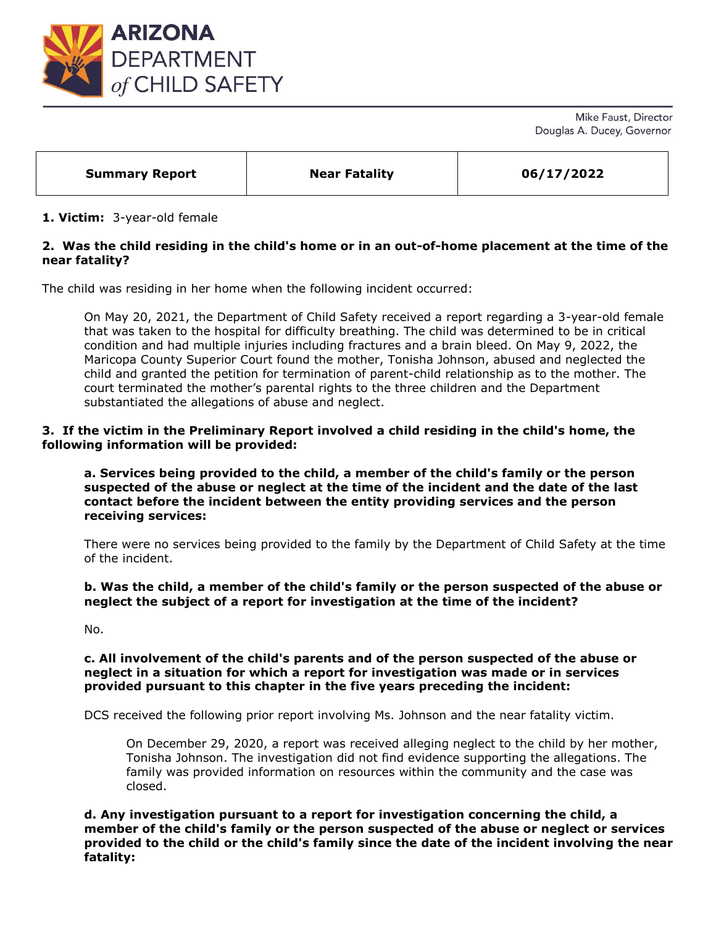

Mike Faust, Director Douglas A. Ducey, Governor

| <b>Near Fatality</b><br>06/17/2022<br><b>Summary Report</b> |
|-------------------------------------------------------------|
|-------------------------------------------------------------|

### **1. Victim:** 3-year-old female

## **2. Was the child residing in the child's home or in an out-of-home placement at the time of the near fatality?**

The child was residing in her home when the following incident occurred:

On May 20, 2021, the Department of Child Safety received a report regarding a 3-year-old female that was taken to the hospital for difficulty breathing. The child was determined to be in critical condition and had multiple injuries including fractures and a brain bleed. On May 9, 2022, the Maricopa County Superior Court found the mother, Tonisha Johnson, abused and neglected the child and granted the petition for termination of parent-child relationship as to the mother. The court terminated the mother's parental rights to the three children and the Department substantiated the allegations of abuse and neglect.

**3. If the victim in the Preliminary Report involved a child residing in the child's home, the following information will be provided:**

**a. Services being provided to the child, a member of the child's family or the person suspected of the abuse or neglect at the time of the incident and the date of the last contact before the incident between the entity providing services and the person receiving services:** 

There were no services being provided to the family by the Department of Child Safety at the time of the incident.

### **b. Was the child, a member of the child's family or the person suspected of the abuse or neglect the subject of a report for investigation at the time of the incident?**

No.

#### **c. All involvement of the child's parents and of the person suspected of the abuse or neglect in a situation for which a report for investigation was made or in services provided pursuant to this chapter in the five years preceding the incident:**

DCS received the following prior report involving Ms. Johnson and the near fatality victim.

On December 29, 2020, a report was received alleging neglect to the child by her mother, Tonisha Johnson. The investigation did not find evidence supporting the allegations. The family was provided information on resources within the community and the case was closed.

**d. Any investigation pursuant to a report for investigation concerning the child, a member of the child's family or the person suspected of the abuse or neglect or services provided to the child or the child's family since the date of the incident involving the near fatality:**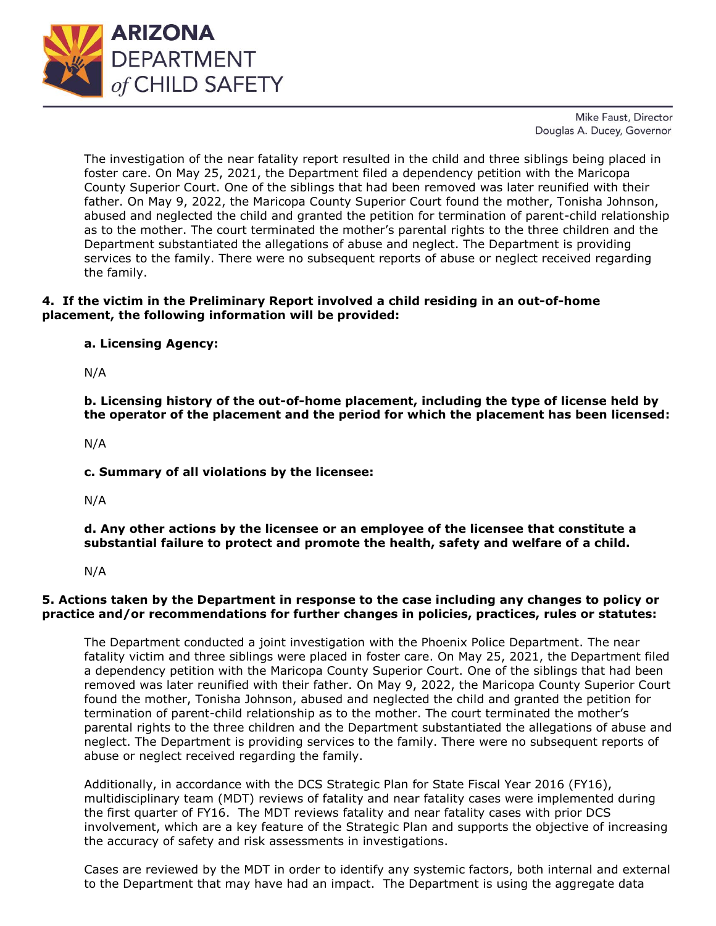

Mike Faust, Director Douglas A. Ducey, Governor

The investigation of the near fatality report resulted in the child and three siblings being placed in foster care. On May 25, 2021, the Department filed a dependency petition with the Maricopa County Superior Court. One of the siblings that had been removed was later reunified with their father. On May 9, 2022, the Maricopa County Superior Court found the mother, Tonisha Johnson, abused and neglected the child and granted the petition for termination of parent-child relationship as to the mother. The court terminated the mother's parental rights to the three children and the Department substantiated the allegations of abuse and neglect. The Department is providing services to the family. There were no subsequent reports of abuse or neglect received regarding the family.

## **4. If the victim in the Preliminary Report involved a child residing in an out-of-home placement, the following information will be provided:**

**a. Licensing Agency:** 

N/A

**b. Licensing history of the out-of-home placement, including the type of license held by the operator of the placement and the period for which the placement has been licensed:** 

N/A

**c. Summary of all violations by the licensee:** 

N/A

**d. Any other actions by the licensee or an employee of the licensee that constitute a substantial failure to protect and promote the health, safety and welfare of a child.**

N/A

# **5. Actions taken by the Department in response to the case including any changes to policy or practice and/or recommendations for further changes in policies, practices, rules or statutes:**

The Department conducted a joint investigation with the Phoenix Police Department. The near fatality victim and three siblings were placed in foster care. On May 25, 2021, the Department filed a dependency petition with the Maricopa County Superior Court. One of the siblings that had been removed was later reunified with their father. On May 9, 2022, the Maricopa County Superior Court found the mother, Tonisha Johnson, abused and neglected the child and granted the petition for termination of parent-child relationship as to the mother. The court terminated the mother's parental rights to the three children and the Department substantiated the allegations of abuse and neglect. The Department is providing services to the family. There were no subsequent reports of abuse or neglect received regarding the family.

Additionally, in accordance with the DCS Strategic Plan for State Fiscal Year 2016 (FY16), multidisciplinary team (MDT) reviews of fatality and near fatality cases were implemented during the first quarter of FY16. The MDT reviews fatality and near fatality cases with prior DCS involvement, which are a key feature of the Strategic Plan and supports the objective of increasing the accuracy of safety and risk assessments in investigations.

Cases are reviewed by the MDT in order to identify any systemic factors, both internal and external to the Department that may have had an impact. The Department is using the aggregate data